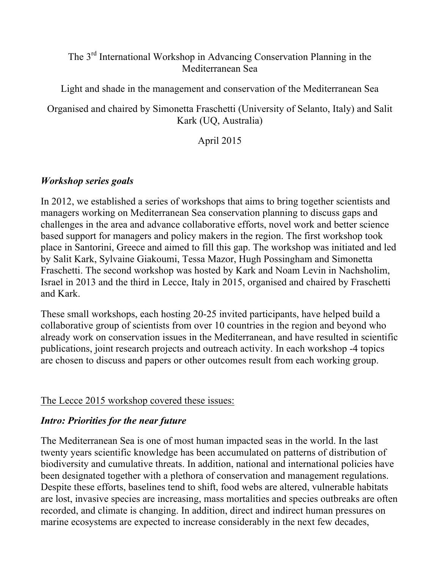## The 3rd International Workshop in Advancing Conservation Planning in the Mediterranean Sea

Light and shade in the management and conservation of the Mediterranean Sea

Organised and chaired by Simonetta Fraschetti (University of Selanto, Italy) and Salit Kark (UQ, Australia)

April 2015

## *Workshop series goals*

In 2012, we established a series of workshops that aims to bring together scientists and managers working on Mediterranean Sea conservation planning to discuss gaps and challenges in the area and advance collaborative efforts, novel work and better science based support for managers and policy makers in the region. The first workshop took place in Santorini, Greece and aimed to fill this gap. The workshop was initiated and led by Salit Kark, Sylvaine Giakoumi, Tessa Mazor, Hugh Possingham and Simonetta Fraschetti. The second workshop was hosted by Kark and Noam Levin in Nachsholim, Israel in 2013 and the third in Lecce, Italy in 2015, organised and chaired by Fraschetti and Kark.

These small workshops, each hosting 20-25 invited participants, have helped build a collaborative group of scientists from over 10 countries in the region and beyond who already work on conservation issues in the Mediterranean, and have resulted in scientific publications, joint research projects and outreach activity. In each workshop -4 topics are chosen to discuss and papers or other outcomes result from each working group.

## The Lecce 2015 workshop covered these issues:

## *Intro: Priorities for the near future*

The Mediterranean Sea is one of most human impacted seas in the world. In the last twenty years scientific knowledge has been accumulated on patterns of distribution of biodiversity and cumulative threats. In addition, national and international policies have been designated together with a plethora of conservation and management regulations. Despite these efforts, baselines tend to shift, food webs are altered, vulnerable habitats are lost, invasive species are increasing, mass mortalities and species outbreaks are often recorded, and climate is changing. In addition, direct and indirect human pressures on marine ecosystems are expected to increase considerably in the next few decades,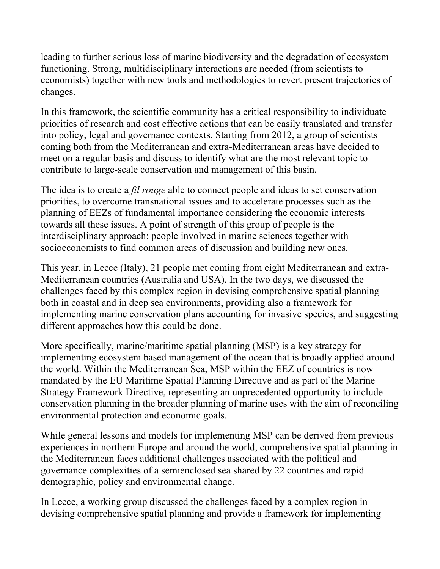leading to further serious loss of marine biodiversity and the degradation of ecosystem functioning. Strong, multidisciplinary interactions are needed (from scientists to economists) together with new tools and methodologies to revert present trajectories of changes.

In this framework, the scientific community has a critical responsibility to individuate priorities of research and cost effective actions that can be easily translated and transfer into policy, legal and governance contexts. Starting from 2012, a group of scientists coming both from the Mediterranean and extra-Mediterranean areas have decided to meet on a regular basis and discuss to identify what are the most relevant topic to contribute to large-scale conservation and management of this basin.

The idea is to create a *fil rouge* able to connect people and ideas to set conservation priorities, to overcome transnational issues and to accelerate processes such as the planning of EEZs of fundamental importance considering the economic interests towards all these issues. A point of strength of this group of people is the interdisciplinary approach: people involved in marine sciences together with socioeconomists to find common areas of discussion and building new ones.

This year, in Lecce (Italy), 21 people met coming from eight Mediterranean and extra-Mediterranean countries (Australia and USA). In the two days, we discussed the challenges faced by this complex region in devising comprehensive spatial planning both in coastal and in deep sea environments, providing also a framework for implementing marine conservation plans accounting for invasive species, and suggesting different approaches how this could be done.

More specifically, marine/maritime spatial planning (MSP) is a key strategy for implementing ecosystem based management of the ocean that is broadly applied around the world. Within the Mediterranean Sea, MSP within the EEZ of countries is now mandated by the EU Maritime Spatial Planning Directive and as part of the Marine Strategy Framework Directive, representing an unprecedented opportunity to include conservation planning in the broader planning of marine uses with the aim of reconciling environmental protection and economic goals.

While general lessons and models for implementing MSP can be derived from previous experiences in northern Europe and around the world, comprehensive spatial planning in the Mediterranean faces additional challenges associated with the political and governance complexities of a semienclosed sea shared by 22 countries and rapid demographic, policy and environmental change.

In Lecce, a working group discussed the challenges faced by a complex region in devising comprehensive spatial planning and provide a framework for implementing